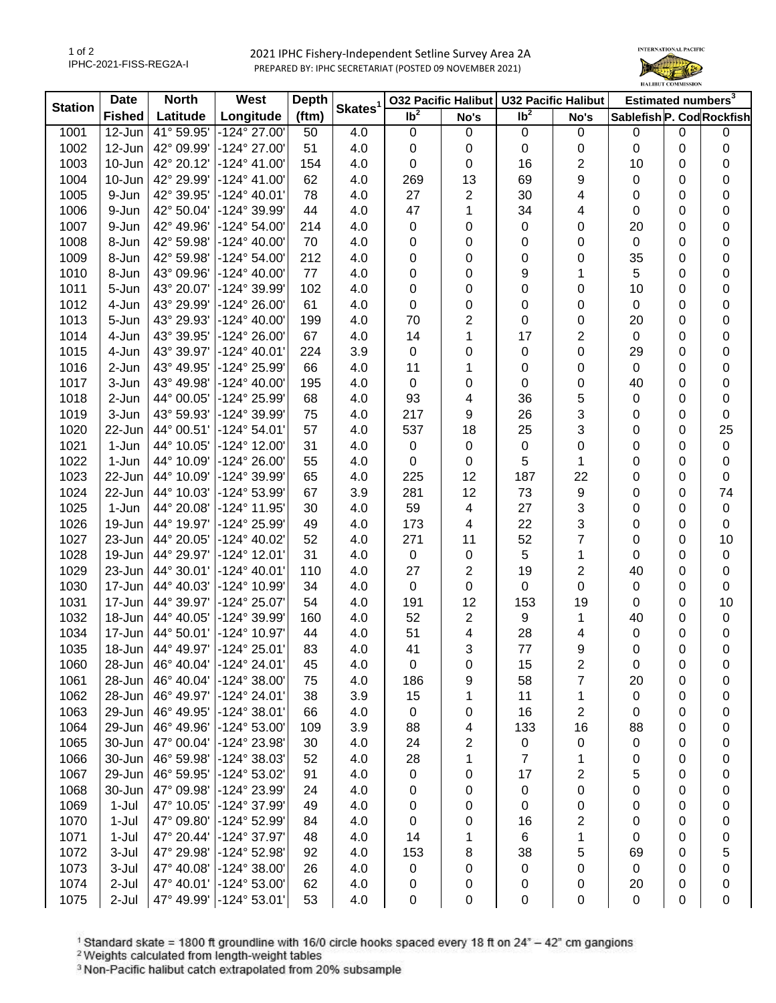2021 IPHC Fishery-Independent Setline Survey Area 2A PREPARED BY: IPHC SECRETARIAT (POSTED 09 NOVEMBER 2021)



| <b>Station</b> | <b>Date</b>   | <b>North</b><br>West |                       | <b>Depth</b> |                     | <b>032 Pacific Halibut</b> |             | <b>U32 Pacific Halibut</b> |                | Estimated numbers <sup>3</sup> |             |             |
|----------------|---------------|----------------------|-----------------------|--------------|---------------------|----------------------------|-------------|----------------------------|----------------|--------------------------------|-------------|-------------|
|                | <b>Fished</b> | Latitude             | Longitude             | (ftm)        | Skates <sup>1</sup> | $\overline{1}b^2$          | No's        | $\overline{\mathsf{lb}^2}$ | No's           | Sablefish P. Cod Rockfish      |             |             |
| 1001           | 12-Jun        | 41° 59.95'           | -124° 27.00'          | 50           | 4.0                 | $\boldsymbol{0}$           | $\mathbf 0$ | $\mathbf 0$                | $\mathbf 0$    | $\mathbf 0$                    | $\mathbf 0$ | 0           |
| 1002           | 12-Jun        | 42° 09.99'           | -124° 27.00'          | 51           | 4.0                 | 0                          | 0           | $\mathbf 0$                | 0              | $\pmb{0}$                      | 0           | 0           |
| 1003           | 10-Jun        | 42° 20.12'           | $-124^{\circ}$ 41.00' | 154          | 4.0                 | 0                          | 0           | 16                         | 2              | 10                             | 0           | 0           |
| 1004           | 10-Jun        | 42° 29.99'           | $-124^{\circ}$ 41.00' | 62           | 4.0                 | 269                        | 13          | 69                         | 9              | 0                              | 0           | 0           |
| 1005           | 9-Jun         | 42° 39.95'           | $-124^{\circ}$ 40.01' | 78           | 4.0                 | 27                         | 2           | 30                         | 4              | 0                              | 0           | 0           |
| 1006           | 9-Jun         | 42° 50.04'           | -124° 39.99'          | 44           | 4.0                 | 47                         | 1           | 34                         | 4              | 0                              | 0           | 0           |
| 1007           | 9-Jun         | 42° 49.96'           | -124° 54.00'          | 214          | 4.0                 | 0                          | 0           | 0                          | 0              | 20                             | 0           | 0           |
| 1008           | 8-Jun         | 42° 59.98'           | -124° 40.00'          | 70           | 4.0                 | 0                          | 0           | 0                          | 0              | 0                              | 0           | 0           |
| 1009           | 8-Jun         | 42° 59.98'           | -124° 54.00'          | 212          | 4.0                 | 0                          | 0           | 0                          | 0              | 35                             | 0           | 0           |
| 1010           | 8-Jun         | 43° 09.96'           | -124° 40.00'          | 77           | 4.0                 | 0                          | 0           | 9                          | 1              | $\overline{5}$                 | 0           | $\pmb{0}$   |
| 1011           | 5-Jun         | 43° 20.07'           | -124° 39.99'          | 102          | 4.0                 | 0                          | 0           | 0                          | 0              | 10                             | 0           | 0           |
| 1012           | 4-Jun         | 43° 29.99'           | -124° 26.00'          | 61           | 4.0                 | 0                          | 0           | 0                          | 0              | $\mathbf 0$                    | 0           | 0           |
| 1013           | 5-Jun         | 43° 29.93'           | $-124^{\circ}$ 40.00  | 199          | 4.0                 | 70                         | 2           | 0                          | 0              | 20                             | 0           | 0           |
| 1014           | 4-Jun         | 43° 39.95'           | -124° 26.00'          | 67           | 4.0                 | 14                         | 1           | 17                         | 2              | $\mathbf 0$                    | 0           | 0           |
| 1015           | 4-Jun         | 43° 39.97'           | $-124^{\circ}$ 40.01' | 224          | 3.9                 | $\mathbf 0$                | 0           | 0                          | 0              | 29                             | 0           | 0           |
| 1016           | 2-Jun         | 43° 49.95'           | -124° 25.99'          | 66           | 4.0                 | 11                         | 1           | 0                          | 0              | $\mathbf 0$                    | 0           | 0           |
| 1017           | 3-Jun         | 43° 49.98'           | $-124^{\circ}$ 40.00' | 195          | 4.0                 | 0                          | 0           | 0                          | 0              | 40                             | 0           | 0           |
| 1018           | 2-Jun         | 44° 00.05'           | -124° 25.99'          | 68           | 4.0                 | 93                         | 4           | 36                         | 5              | 0                              | 0           | $\pmb{0}$   |
| 1019           | 3-Jun         | 43° 59.93'           | -124° 39.99'          | 75           | 4.0                 | 217                        | 9           | 26                         | 3              | 0                              | 0           | $\pmb{0}$   |
| 1020           | 22-Jun        | 44° 00.51'           | -124° 54.01'          | 57           | 4.0                 | 537                        | 18          | 25                         | 3              | 0                              | 0           | 25          |
| 1021           | 1-Jun         | 44° 10.05'           | -124° 12.00'          | 31           | 4.0                 | 0                          | 0           | $\pmb{0}$                  | 0              | 0                              | 0           | $\pmb{0}$   |
| 1022           | 1-Jun         | 44° 10.09'           | -124° 26.00'          | 55           | 4.0                 | 0                          | 0           | 5                          | 1              | 0                              | 0           | 0           |
| 1023           | 22-Jun        | 44° 10.09'           | -124° 39.99'          | 65           | 4.0                 | 225                        | 12          | 187                        | 22             | 0                              | 0           | $\pmb{0}$   |
| 1024           | 22-Jun        | 44° 10.03'           | -124° 53.99'          | 67           | 3.9                 | 281                        | 12          | 73                         | 9              | 0                              | 0           | 74          |
| 1025           | 1-Jun         | 44° 20.08'           | -124° 11.95'          | 30           | 4.0                 | 59                         | 4           | 27                         | 3              | 0                              | 0           | $\pmb{0}$   |
| 1026           | 19-Jun        | 44° 19.97'           | -124° 25.99'          | 49           | 4.0                 | 173                        | 4           | 22                         | 3              | 0                              | 0           | $\pmb{0}$   |
| 1027           | 23-Jun        | 44° 20.05'           | -124° 40.02'          | 52           | 4.0                 | 271                        | 11          | 52                         | 7              | 0                              | 0           | 10          |
| 1028           | 19-Jun        | 44° 29.97'           | -124° 12.01'          | 31           | 4.0                 | $\mathbf 0$                | $\pmb{0}$   | 5                          | 1              | 0                              | 0           | $\pmb{0}$   |
| 1029           | 23-Jun        | 44° 30.01'           | -124° 40.01'          | 110          | 4.0                 | 27                         | 2           | 19                         | $\overline{c}$ | 40                             | 0           | $\pmb{0}$   |
| 1030           | 17-Jun        | 44° 40.03'           | -124° 10.99'          | 34           | 4.0                 | 0                          | $\mathbf 0$ | 0                          | 0              | 0                              | 0           | $\mathbf 0$ |
| 1031           | 17-Jun        | 44° 39.97'           | -124° 25.07'          | 54           | 4.0                 | 191                        | 12          | 153                        | 19             | 0                              | 0           | 10          |
| 1032           | 18-Jun        | 44° 40.05'           | -124° 39.99'          | 160          | 4.0                 | 52                         | 2           | 9                          | 1              | 40                             | 0           | $\pmb{0}$   |
| 1034           | 17-Jun        | 44° 50.01'           | -124° 10.97'          | 44           | 4.0                 | 51                         | 4           | 28                         | 4              | 0                              | 0           | 0           |
| 1035           | 18-Jun        | 44° 49.97'           | $-124^{\circ} 25.01'$ | 83           | 4.0                 | 41                         | 3           | 77                         | 9              | 0                              | 0           | 0           |
| 1060           | 28-Jun        | 46° 40.04'           | -124° 24.01'          | 45           | 4.0                 | 0                          | 0           | 15                         | 2              | 0                              | 0           | 0           |
| 1061           | 28-Jun        | 46° 40.04'           | $-124^{\circ}$ 38.00' | 75           | 4.0                 | 186                        | 9           | 58                         | 7              | 20                             | 0           | 0           |
| 1062           | 28-Jun        | 46° 49.97'           | $-124^{\circ} 24.01'$ | 38           | 3.9                 | 15                         | 1           | 11                         | 1              | 0                              | 0           | 0           |
| 1063           | 29-Jun        | 46° 49.95'           | -124° 38.01'          | 66           | 4.0                 | 0                          | 0           | 16                         | 2              | 0                              | 0           | 0           |
| 1064           | 29-Jun        | 46° 49.96'           | -124° 53.00'          | 109          | 3.9                 | 88                         | 4           | 133                        | 16             | 88                             | 0           | 0           |
| 1065           | 30-Jun        | 47° 00.04'           | -124° 23.98'          | 30           | 4.0                 | 24                         | 2           | 0                          | 0              | 0                              | 0           | 0           |
| 1066           | 30-Jun        | 46° 59.98'           | -124° 38.03'          | 52           | 4.0                 | 28                         | 1           | 7                          | 1              | 0                              | 0           | 0           |
| 1067           | 29-Jun        | 46° 59.95'           | -124° 53.02'          | 91           | 4.0                 | $\mathbf 0$                | 0           | 17                         | 2              | 5                              | 0           | 0           |
| 1068           | 30-Jun        | 47° 09.98'           | -124° 23.99'          | 24           | 4.0                 | 0                          | 0           | $\mathbf 0$                | 0              | 0                              | 0           | 0           |
| 1069           | 1-Jul         | 47° 10.05'           | -124° 37.99'          | 49           | 4.0                 | 0                          | 0           | $\mathbf 0$                | 0              | 0                              | 0           | 0           |
| 1070           | $1-Jul$       | 47° 09.80'           | -124° 52.99'          | 84           | 4.0                 | 0                          | 0           | 16                         | 2              | 0                              | 0           | 0           |
| 1071           | $1-Jul$       | 47° 20.44'           | -124° 37.97'          | 48           | 4.0                 | 14                         | 1           | 6                          | 1              | 0                              | 0           | $\mathbf 0$ |
| 1072           | 3-Jul         | 47° 29.98'           | -124° 52.98'          | 92           | 4.0                 | 153                        | 8           | 38                         | 5              | 69                             | 0           | 5           |
| 1073           | 3-Jul         | 47° 40.08'           | $-124^{\circ}$ 38.00' | 26           | 4.0                 | 0                          | 0           | 0                          | 0              | 0                              | 0           | 0           |
| 1074           | 2-Jul         | 47° 40.01'           | $-124^{\circ} 53.00'$ | 62           | 4.0                 | 0                          | 0           | 0                          | 0              | 20                             | 0           | 0           |
| 1075           | 2-Jul         | 47° 49.99'           | -124° 53.01'          | 53           | 4.0                 | 0                          | 0           | 0                          | 0              | $\boldsymbol{0}$               | 0           | 0           |
|                |               |                      |                       |              |                     |                            |             |                            |                |                                |             |             |

<sup>1</sup> Standard skate = 1800 ft groundline with 16/0 circle hooks spaced every 18 ft on 24<sup>\*</sup> – 42<sup>\*</sup> cm gangions <sup>2</sup> Weights calculated from length-weight tables<br><sup>2</sup> Weights calculated from length-weight tables<br><sup>3</sup> Non-Paci